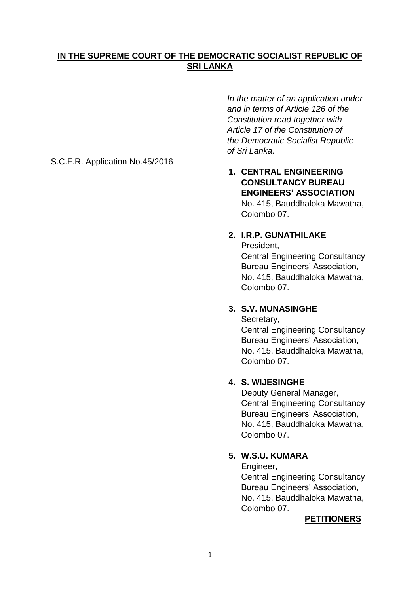### **IN THE SUPREME COURT OF THE DEMOCRATIC SOCIALIST REPUBLIC OF SRI LANKA**

*In the matter of an application under and in terms of Article 126 of the Constitution read together with Article 17 of the Constitution of the Democratic Socialist Republic of Sri Lanka.*

**1. CENTRAL ENGINEERING CONSULTANCY BUREAU ENGINEERS' ASSOCIATION** No. 415, Bauddhaloka Mawatha, Colombo 07.

**2. I.R.P. GUNATHILAKE** President, Central Engineering Consultancy Bureau Engineers' Association, No. 415, Bauddhaloka Mawatha, Colombo 07.

#### **3. S.V. MUNASINGHE**

Secretary, Central Engineering Consultancy Bureau Engineers' Association, No. 415, Bauddhaloka Mawatha, Colombo 07.

### **4. S. WIJESINGHE**

Deputy General Manager, Central Engineering Consultancy Bureau Engineers' Association, No. 415, Bauddhaloka Mawatha, Colombo 07.

### **5. W.S.U. KUMARA**

Engineer, Central Engineering Consultancy Bureau Engineers' Association, No. 415, Bauddhaloka Mawatha, Colombo 07.

#### **PETITIONERS**

S.C.F.R. Application No.45/2016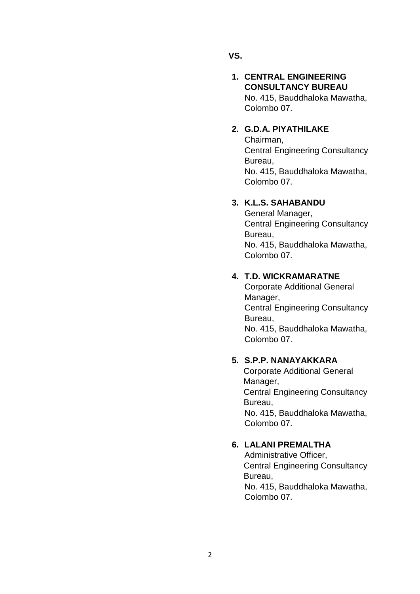**VS.**

**1. CENTRAL ENGINEERING CONSULTANCY BUREAU** No. 415, Bauddhaloka Mawatha, Colombo 07.

# **2. G.D.A. PIYATHILAKE**

Chairman, Central Engineering Consultancy Bureau, No. 415, Bauddhaloka Mawatha, Colombo 07.

### **3. K.L.S. SAHABANDU**

General Manager, Central Engineering Consultancy Bureau, No. 415, Bauddhaloka Mawatha, Colombo 07.

# **4. T.D. WICKRAMARATNE**

Corporate Additional General Manager, Central Engineering Consultancy Bureau, No. 415, Bauddhaloka Mawatha, Colombo 07.

# **5. S.P.P. NANAYAKKARA**

Corporate Additional General Manager, Central Engineering Consultancy Bureau, No. 415, Bauddhaloka Mawatha, Colombo 07.

# **6. LALANI PREMALTHA**

Administrative Officer, Central Engineering Consultancy Bureau, No. 415, Bauddhaloka Mawatha, Colombo 07.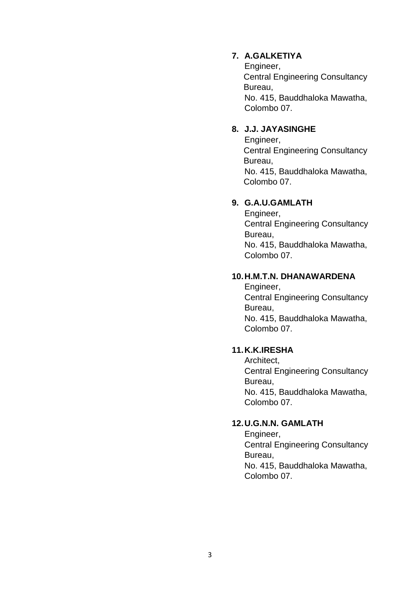### **7. A.GALKETIYA**

Engineer, Central Engineering Consultancy Bureau, No. 415, Bauddhaloka Mawatha, Colombo 07.

# **8. J.J. JAYASINGHE**

Engineer, Central Engineering Consultancy Bureau, No. 415, Bauddhaloka Mawatha, Colombo 07.

### **9. G.A.U.GAMLATH**

Engineer, Central Engineering Consultancy Bureau, No. 415, Bauddhaloka Mawatha, Colombo 07.

#### **10.H.M.T.N. DHANAWARDENA**

Engineer, Central Engineering Consultancy Bureau, No. 415, Bauddhaloka Mawatha, Colombo 07.

### **11.K.K.IRESHA**

Architect, Central Engineering Consultancy Bureau, No. 415, Bauddhaloka Mawatha, Colombo 07.

### **12.U.G.N.N. GAMLATH**

Engineer, Central Engineering Consultancy Bureau, No. 415, Bauddhaloka Mawatha, Colombo 07.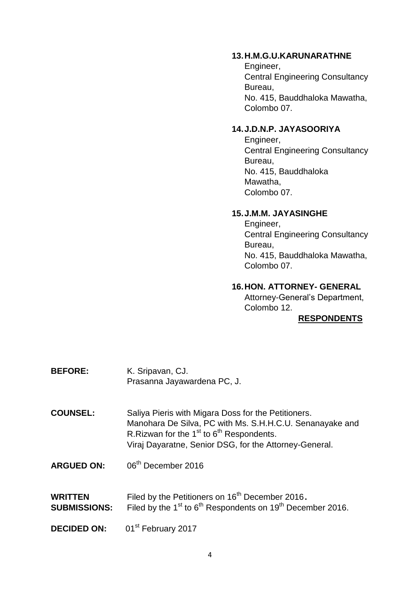#### **13.H.M.G.U.KARUNARATHNE**

Engineer, Central Engineering Consultancy Bureau, No. 415, Bauddhaloka Mawatha, Colombo 07.

# **14.J.D.N.P. JAYASOORIYA**

Engineer, Central Engineering Consultancy Bureau, No. 415, Bauddhaloka Mawatha, Colombo 07.

#### **15.J.M.M. JAYASINGHE**

Engineer, Central Engineering Consultancy Bureau, No. 415, Bauddhaloka Mawatha, Colombo 07.

#### **16.HON. ATTORNEY- GENERAL**

Attorney-General's Department, Colombo 12.

#### **RESPONDENTS**

- **BEFORE:** K. Sripavan, CJ. Prasanna Jayawardena PC, J.
- **COUNSEL:** Saliya Pieris with Migara Doss for the Petitioners. Manohara De Silva, PC with Ms. S.H.H.C.U. Senanayake and R.Rizwan for the 1 $s$ <sup>t</sup> to 6<sup>th</sup> Respondents. Viraj Dayaratne, Senior DSG, for the Attorney-General.
- **ARGUED ON:** 06<sup>th</sup> December 2016

### **WRITTEN** Filed by the Petitioners on 16<sup>th</sup> December 2016. **SUBMISSIONS:** Filed by the 1<sup>st</sup> to 6<sup>th</sup> Respondents on 19<sup>th</sup> December 2016.

**DECIDED ON:** 01<sup>st</sup> February 2017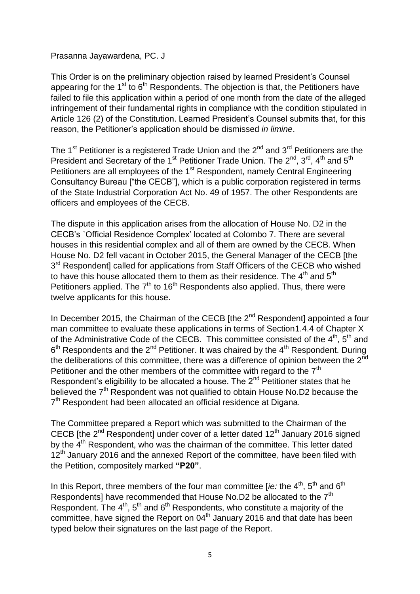#### Prasanna Jayawardena, PC. J

This Order is on the preliminary objection raised by learned President's Counsel appearing for the  $1<sup>st</sup>$  to  $6<sup>th</sup>$  Respondents. The objection is that, the Petitioners have failed to file this application within a period of one month from the date of the alleged infringement of their fundamental rights in compliance with the condition stipulated in Article 126 (2) of the Constitution. Learned President's Counsel submits that, for this reason, the Petitioner's application should be dismissed *in limine*.

The 1<sup>st</sup> Petitioner is a registered Trade Union and the  $2^{nd}$  and  $3^{rd}$  Petitioners are the President and Secretary of the 1<sup>st</sup> Petitioner Trade Union. The 2<sup>nd</sup>, 3<sup>rd</sup>, 4<sup>th</sup> and 5<sup>th</sup> Petitioners are all employees of the 1<sup>st</sup> Respondent, namely Central Engineering Consultancy Bureau ["the CECB"], which is a public corporation registered in terms of the State Industrial Corporation Act No. 49 of 1957. The other Respondents are officers and employees of the CECB.

The dispute in this application arises from the allocation of House No. D2 in the CECB's `Official Residence Complex' located at Colombo 7. There are several houses in this residential complex and all of them are owned by the CECB. When House No. D2 fell vacant in October 2015, the General Manager of the CECB [the 3<sup>rd</sup> Respondent] called for applications from Staff Officers of the CECB who wished to have this house allocated them to them as their residence. The  $4<sup>th</sup>$  and  $5<sup>th</sup>$ Petitioners applied. The  $7<sup>th</sup>$  to 16<sup>th</sup> Respondents also applied. Thus, there were twelve applicants for this house.

In December 2015, the Chairman of the CECB [the  $2^{nd}$  Respondent] appointed a four man committee to evaluate these applications in terms of Section1.4.4 of Chapter X of the Administrative Code of the CECB. This committee consisted of the  $4<sup>th</sup>$ ,  $5<sup>th</sup>$  and  $6<sup>th</sup>$  Respondents and the 2<sup>nd</sup> Petitioner. It was chaired by the 4<sup>th</sup> Respondent. During the deliberations of this committee, there was a difference of opinion between the  $2<sup>nd</sup>$ Petitioner and the other members of the committee with regard to the  $7<sup>th</sup>$ Respondent's eligibility to be allocated a house. The  $2^{nd}$  Petitioner states that he believed the  $7<sup>th</sup>$  Respondent was not qualified to obtain House No.D2 because the 7<sup>th</sup> Respondent had been allocated an official residence at Digana.

The Committee prepared a Report which was submitted to the Chairman of the CECB [the  $2^{nd}$  Respondent] under cover of a letter dated  $12^{th}$  January 2016 signed by the 4<sup>th</sup> Respondent, who was the chairman of the committee. This letter dated  $12<sup>th</sup>$  January 2016 and the annexed Report of the committee, have been filed with the Petition, compositely marked **"P20"**.

In this Report, three members of the four man committee [*ie:* the 4<sup>th</sup>, 5<sup>th</sup> and 6<sup>th</sup> Respondents] have recommended that House No.D2 be allocated to the  $7<sup>th</sup>$ Respondent. The  $4<sup>th</sup>$ ,  $5<sup>th</sup>$  and  $6<sup>th</sup>$  Respondents, who constitute a majority of the committee, have signed the Report on  $04<sup>th</sup>$  January 2016 and that date has been typed below their signatures on the last page of the Report.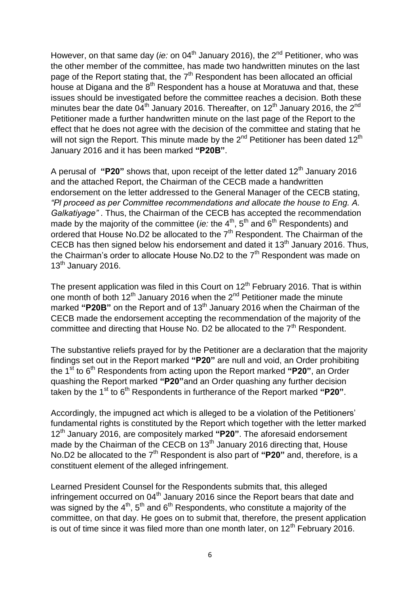However, on that same day (*ie:* on 04<sup>th</sup> January 2016), the 2<sup>nd</sup> Petitioner, who was the other member of the committee, has made two handwritten minutes on the last page of the Report stating that, the 7<sup>th</sup> Respondent has been allocated an official house at Digana and the 8<sup>th</sup> Respondent has a house at Moratuwa and that, these issues should be investigated before the committee reaches a decision. Both these minutes bear the date  $04<sup>th</sup>$  January 2016. Thereafter, on 12<sup>th</sup> January 2016, the 2<sup>nd</sup> Petitioner made a further handwritten minute on the last page of the Report to the effect that he does not agree with the decision of the committee and stating that he will not sign the Report. This minute made by the 2<sup>nd</sup> Petitioner has been dated 12<sup>th</sup> January 2016 and it has been marked **"P20B"**.

A perusal of "P20" shows that, upon receipt of the letter dated 12<sup>th</sup> January 2016 and the attached Report, the Chairman of the CECB made a handwritten endorsement on the letter addressed to the General Manager of the CECB stating, *"Pl proceed as per Committee recommendations and allocate the house to Eng. A. Galkatiyage"* . Thus, the Chairman of the CECB has accepted the recommendation made by the majority of the committee (*ie:* the 4<sup>th</sup>, 5<sup>th</sup> and 6<sup>th</sup> Respondents) and ordered that House No.D2 be allocated to the  $7<sup>th</sup>$  Respondent. The Chairman of the CECB has then signed below his endorsement and dated it  $13<sup>th</sup>$  January 2016. Thus, the Chairman's order to allocate House No.D2 to the  $7<sup>th</sup>$  Respondent was made on  $13<sup>th</sup>$  January 2016.

The present application was filed in this Court on  $12<sup>th</sup>$  February 2016. That is within one month of both  $12<sup>th</sup>$  January 2016 when the  $2<sup>nd</sup>$  Petitioner made the minute marked "P20B" on the Report and of 13<sup>th</sup> January 2016 when the Chairman of the CECB made the endorsement accepting the recommendation of the majority of the committee and directing that House No. D2 be allocated to the  $7<sup>th</sup>$  Respondent.

The substantive reliefs prayed for by the Petitioner are a declaration that the majority findings set out in the Report marked **"P20"** are null and void, an Order prohibiting the 1<sup>st</sup> to 6<sup>th</sup> Respondents from acting upon the Report marked "P20", an Order quashing the Report marked **"P20"**and an Order quashing any further decision taken by the 1<sup>st</sup> to 6<sup>th</sup> Respondents in furtherance of the Report marked "P20".

Accordingly, the impugned act which is alleged to be a violation of the Petitioners' fundamental rights is constituted by the Report which together with the letter marked 12th January 2016, are compositely marked **"P20"**. The aforesaid endorsement made by the Chairman of the CECB on 13<sup>th</sup> January 2016 directing that, House No.D2 be allocated to the 7<sup>th</sup> Respondent is also part of "P20" and, therefore, is a constituent element of the alleged infringement.

Learned President Counsel for the Respondents submits that, this alleged infringement occurred on  $04<sup>th</sup>$  January 2016 since the Report bears that date and was signed by the  $4<sup>th</sup>$ ,  $5<sup>th</sup>$  and  $6<sup>th</sup>$  Respondents, who constitute a majority of the committee, on that day. He goes on to submit that, therefore, the present application is out of time since it was filed more than one month later, on  $12<sup>th</sup>$  February 2016.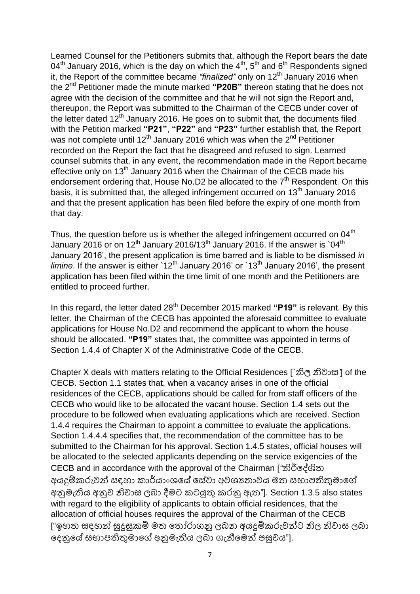Learned Counsel for the Petitioners submits that, although the Report bears the date  $04<sup>th</sup>$  January 2016, which is the day on which the  $4<sup>th</sup>$ ,  $5<sup>th</sup>$  and  $6<sup>th</sup>$  Respondents signed it, the Report of the committee became *"finalized"* only on 12th January 2016 when the 2nd Petitioner made the minute marked **"P20B"** thereon stating that he does not agree with the decision of the committee and that he will not sign the Report and, thereupon, the Report was submitted to the Chairman of the CECB under cover of the letter dated  $12<sup>th</sup>$  January 2016. He goes on to submit that, the documents filed with the Petition marked **"P21"**, **"P22"** and **"P23"** further establish that, the Report was not complete until 12<sup>th</sup> January 2016 which was when the  $2<sup>nd</sup>$  Petitioner recorded on the Report the fact that he disagreed and refused to sign. Learned counsel submits that, in any event, the recommendation made in the Report became effective only on 13<sup>th</sup> January 2016 when the Chairman of the CECB made his endorsement ordering that, House No.D2 be allocated to the  $7<sup>th</sup>$  Respondent. On this basis, it is submitted that, the alleged infringement occurred on 13<sup>th</sup> January 2016 and that the present application has been filed before the expiry of one month from that day.

Thus, the question before us is whether the alleged infringement occurred on  $04<sup>th</sup>$ January 2016 or on  $12^{th}$  January 2016/13<sup>th</sup> January 2016. If the answer is `04<sup>th</sup> January 2016', the present application is time barred and is liable to be dismissed *in limine*. If the answer is either 12<sup>th</sup> January 2016' or 13<sup>th</sup> January 2016', the present application has been filed within the time limit of one month and the Petitioners are entitled to proceed further.

In this regard, the letter dated 28<sup>th</sup> December 2015 marked "P19" is relevant. By this letter, the Chairman of the CECB has appointed the aforesaid committee to evaluate applications for House No.D2 and recommend the applicant to whom the house should be allocated. **"P19"** states that, the committee was appointed in terms of Section 1.4.4 of Chapter X of the Administrative Code of the CECB.

Chapter X deals with matters relating to the Official Residences [`නිල නිවාස*'*] of the CECB. Section 1.1 states that, when a vacancy arises in one of the official residences of the CECB, applications should be called for from staff officers of the CECB who would like to be allocated the vacant house. Section 1.4 sets out the procedure to be followed when evaluating applications which are received. Section 1.4.4 requires the Chairman to appoint a committee to evaluate the applications. Section 1.4.4.4 specifies that, the recommendation of the committee has to be submitted to the Chairman for his approval. Section 1.4.5 states, official houses will be allocated to the selected applicants depending on the service exigencies of the CECB and in accordance with the approval of the Chairman [*"*නිර්දේශිත අයදුම්කරුවන් සඳහා කාර්යාංශයේ සේවා අවශානාවය මත සභාපතිතුමාගේ අනුමැතිය අනුව නිවාස ලබා දීමට කටයුතු කරනු ඇත"]. Section 1.3.5 also states with regard to the eligibility of applicants to obtain official residences, that the allocation of official houses requires the approval of the Chairman of the CECB ["ඉහත සඳහන් සුදුසුකම් තත දතෝරාගනු ලබන අයදුම්කරුවන්ට නිල නිවාස ලබා දෙනුයේ සභාපතිතුමාගේ අනුමැතිය ලබා ගැනීමෙන් පසුවය"].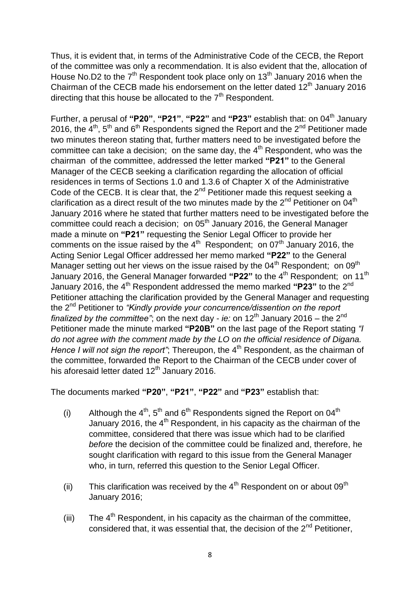Thus, it is evident that, in terms of the Administrative Code of the CECB, the Report of the committee was only a recommendation. It is also evident that the, allocation of House No.D2 to the  $7<sup>th</sup>$  Respondent took place only on 13<sup>th</sup> January 2016 when the Chairman of the CECB made his endorsement on the letter dated  $12<sup>th</sup>$  January 2016 directing that this house be allocated to the  $7<sup>th</sup>$  Respondent.

Further, a perusal of **"P20"**, **"P21"**, **"P22"** and **"P23"** establish that: on 04th January 2016, the  $4<sup>th</sup>$ , 5<sup>th</sup> and 6<sup>th</sup> Respondents signed the Report and the 2<sup>nd</sup> Petitioner made two minutes thereon stating that, further matters need to be investigated before the committee can take a decision; on the same day, the  $4<sup>th</sup>$  Respondent, who was the chairman of the committee, addressed the letter marked **"P21"** to the General Manager of the CECB seeking a clarification regarding the allocation of official residences in terms of Sections 1.0 and 1.3.6 of Chapter X of the Administrative Code of the CECB. It is clear that, the  $2^{nd}$  Petitioner made this request seeking a clarification as a direct result of the two minutes made by the  $2<sup>nd</sup>$  Petitioner on  $04<sup>th</sup>$ January 2016 where he stated that further matters need to be investigated before the committee could reach a decision; on 05<sup>th</sup> January 2016, the General Manager made a minute on **"P21"** requesting the Senior Legal Officer to provide her comments on the issue raised by the  $4^{\text{th}}$  Respondent; on 07<sup>th</sup> January 2016, the Acting Senior Legal Officer addressed her memo marked **"P22"** to the General Manager setting out her views on the issue raised by the  $04<sup>th</sup>$  Respondent; on  $09<sup>th</sup>$ January 2016, the General Manager forwarded "P22" to the 4<sup>th</sup> Respondent; on 11<sup>th</sup> January 2016, the 4<sup>th</sup> Respondent addressed the memo marked "P23" to the 2<sup>nd</sup> Petitioner attaching the clarification provided by the General Manager and requesting the 2nd Petitioner to *"Kindly provide your concurrence/dissention on the report finalized by the committee"*; on the next day - *ie:* on 12<sup>th</sup> January 2016 – the 2<sup>nd</sup> Petitioner made the minute marked **"P20B"** on the last page of the Report stating *"I do not agree with the comment made by the LO on the official residence of Digana. Hence I will not sign the report*"; Thereupon, the 4<sup>th</sup> Respondent, as the chairman of the committee, forwarded the Report to the Chairman of the CECB under cover of his aforesaid letter dated  $12<sup>th</sup>$  January 2016.

The documents marked **"P20"**, **"P21"**, **"P22"** and **"P23"** establish that:

- (i) Although the  $4<sup>th</sup>$ ,  $5<sup>th</sup>$  and  $6<sup>th</sup>$  Respondents signed the Report on 04<sup>th</sup> January 2016, the  $4<sup>th</sup>$  Respondent, in his capacity as the chairman of the committee, considered that there was issue which had to be clarified *before* the decision of the committee could be finalized and, therefore, he sought clarification with regard to this issue from the General Manager who, in turn, referred this question to the Senior Legal Officer.
- (ii) This clarification was received by the  $4<sup>th</sup>$  Respondent on or about 09<sup>th</sup> January 2016;
- (iii) The  $4<sup>th</sup>$  Respondent, in his capacity as the chairman of the committee, considered that, it was essential that, the decision of the  $2^{nd}$  Petitioner,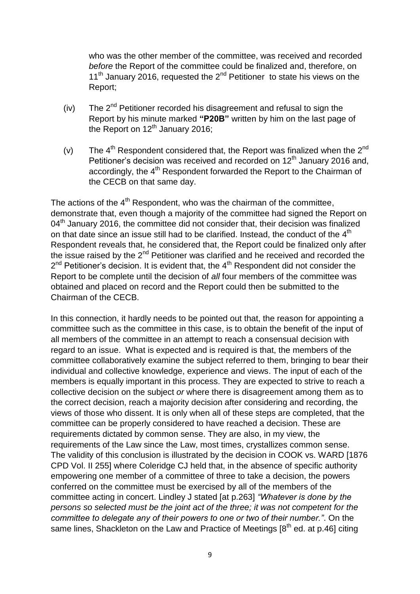who was the other member of the committee, was received and recorded *before* the Report of the committee could be finalized and, therefore, on 11<sup>th</sup> January 2016, requested the  $2^{nd}$  Petitioner to state his views on the Report;

- $(iv)$  The  $2<sup>nd</sup>$  Petitioner recorded his disagreement and refusal to sign the Report by his minute marked **"P20B"** written by him on the last page of the Report on  $12<sup>th</sup>$  January 2016;
- (v) The  $4^{\text{th}}$  Respondent considered that, the Report was finalized when the  $2^{\text{nd}}$ Petitioner's decision was received and recorded on 12<sup>th</sup> January 2016 and, accordingly, the 4<sup>th</sup> Respondent forwarded the Report to the Chairman of the CECB on that same day.

The actions of the  $4<sup>th</sup>$  Respondent, who was the chairman of the committee, demonstrate that, even though a majority of the committee had signed the Report on  $04<sup>th</sup>$  January 2016, the committee did not consider that, their decision was finalized on that date since an issue still had to be clarified. Instead, the conduct of the  $4<sup>th</sup>$ Respondent reveals that, he considered that, the Report could be finalized only after the issue raised by the  $2<sup>nd</sup>$  Petitioner was clarified and he received and recorded the  $2^{nd}$  Petitioner's decision. It is evident that, the  $4^{th}$  Respondent did not consider the Report to be complete until the decision of *all* four members of the committee was obtained and placed on record and the Report could then be submitted to the Chairman of the CECB.

In this connection, it hardly needs to be pointed out that, the reason for appointing a committee such as the committee in this case, is to obtain the benefit of the input of all members of the committee in an attempt to reach a consensual decision with regard to an issue. What is expected and is required is that, the members of the committee collaboratively examine the subject referred to them, bringing to bear their individual and collective knowledge, experience and views. The input of each of the members is equally important in this process. They are expected to strive to reach a collective decision on the subject *or* where there is disagreement among them as to the correct decision, reach a majority decision after considering and recording, the views of those who dissent. It is only when all of these steps are completed, that the committee can be properly considered to have reached a decision. These are requirements dictated by common sense. They are also, in my view, the requirements of the Law since the Law, most times, crystallizes common sense. The validity of this conclusion is illustrated by the decision in COOK vs. WARD [1876 CPD Vol. II 255] where Coleridge CJ held that, in the absence of specific authority empowering one member of a committee of three to take a decision, the powers conferred on the committee must be exercised by all of the members of the committee acting in concert. Lindley J stated [at p.263] *"Whatever is done by the persons so selected must be the joint act of the three; it was not competent for the committee to delegate any of their powers to one or two of their number."*. On the same lines, Shackleton on the Law and Practice of Meetings [8<sup>th</sup> ed. at p.46] citing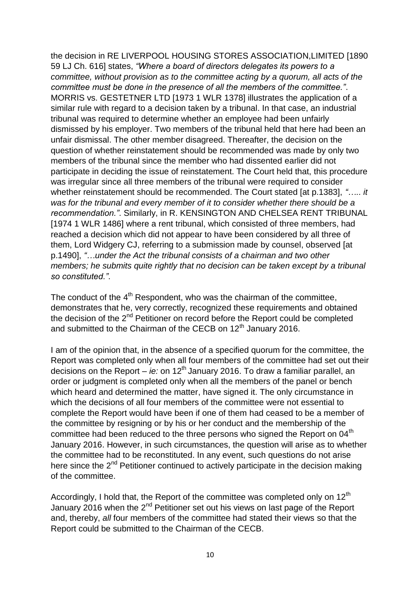the decision in RE LIVERPOOL HOUSING STORES ASSOCIATION,LIMITED [1890 59 LJ Ch. 616] states, *"Where a board of directors delegates its powers to a committee, without provision as to the committee acting by a quorum, all acts of the committee must be done in the presence of all the members of the committee."*. MORRIS vs. GESTETNER LTD [1973 1 WLR 1378] illustrates the application of a similar rule with regard to a decision taken by a tribunal. In that case, an industrial tribunal was required to determine whether an employee had been unfairly dismissed by his employer. Two members of the tribunal held that here had been an unfair dismissal. The other member disagreed. Thereafter, the decision on the question of whether reinstatement should be recommended was made by only two members of the tribunal since the member who had dissented earlier did not participate in deciding the issue of reinstatement. The Court held that, this procedure was irregular since all three members of the tribunal were required to consider whether reinstatement should be recommended. The Court stated [at p.1383], *"….. it was for the tribunal and every member of it to consider whether there should be a recommendation."*. Similarly, in R. KENSINGTON AND CHELSEA RENT TRIBUNAL [1974 1 WLR 1486] where a rent tribunal, which consisted of three members, had reached a decision which did not appear to have been considered by all three of them, Lord Widgery CJ, referring to a submission made by counsel, observed [at p.1490], *"…under the Act the tribunal consists of a chairman and two other members; he submits quite rightly that no decision can be taken except by a tribunal so constituted."*.

The conduct of the  $4<sup>th</sup>$  Respondent, who was the chairman of the committee, demonstrates that he, very correctly, recognized these requirements and obtained the decision of the  $2^{nd}$  Petitioner on record before the Report could be completed and submitted to the Chairman of the CECB on 12<sup>th</sup> January 2016.

I am of the opinion that, in the absence of a specified quorum for the committee, the Report was completed only when all four members of the committee had set out their decisions on the Report – *ie:* on 12th January 2016. To draw a familiar parallel, an order or judgment is completed only when all the members of the panel or bench which heard and determined the matter, have signed it. The only circumstance in which the decisions of all four members of the committee were not essential to complete the Report would have been if one of them had ceased to be a member of the committee by resigning or by his or her conduct and the membership of the committee had been reduced to the three persons who signed the Report on 04<sup>th</sup> January 2016. However, in such circumstances, the question will arise as to whether the committee had to be reconstituted. In any event, such questions do not arise here since the 2<sup>nd</sup> Petitioner continued to actively participate in the decision making of the committee.

Accordingly, I hold that, the Report of the committee was completed only on  $12<sup>th</sup>$ January 2016 when the 2<sup>nd</sup> Petitioner set out his views on last page of the Report and, thereby, *all* four members of the committee had stated their views so that the Report could be submitted to the Chairman of the CECB.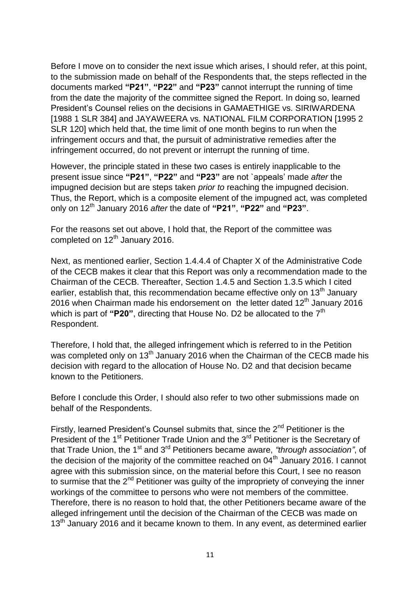Before I move on to consider the next issue which arises, I should refer, at this point, to the submission made on behalf of the Respondents that, the steps reflected in the documents marked **"P21"**, **"P22"** and **"P23"** cannot interrupt the running of time from the date the majority of the committee signed the Report. In doing so, learned President's Counsel relies on the decisions in GAMAETHIGE vs. SIRIWARDENA [1988 1 SLR 384] and JAYAWEERA vs. NATIONAL FILM CORPORATION [1995 2] SLR 120] which held that, the time limit of one month begins to run when the infringement occurs and that, the pursuit of administrative remedies after the infringement occurred, do not prevent or interrupt the running of time.

However, the principle stated in these two cases is entirely inapplicable to the present issue since **"P21"**, **"P22"** and **"P23"** are not `appeals' made *after* the impugned decision but are steps taken *prior to* reaching the impugned decision. Thus, the Report, which is a composite element of the impugned act, was completed only on 12th January 2016 *after* the date of **"P21"**, **"P22"** and **"P23"**.

For the reasons set out above, I hold that, the Report of the committee was completed on  $12^{th}$  January 2016.

Next, as mentioned earlier, Section 1.4.4.4 of Chapter X of the Administrative Code of the CECB makes it clear that this Report was only a recommendation made to the Chairman of the CECB. Thereafter, Section 1.4.5 and Section 1.3.5 which I cited earlier, establish that, this recommendation became effective only on 13<sup>th</sup> January 2016 when Chairman made his endorsement on the letter dated  $12<sup>th</sup>$  January 2016 which is part of "P20", directing that House No. D2 be allocated to the 7<sup>th</sup> Respondent.

Therefore, I hold that, the alleged infringement which is referred to in the Petition was completed only on  $13<sup>th</sup>$  January 2016 when the Chairman of the CECB made his decision with regard to the allocation of House No. D2 and that decision became known to the Petitioners.

Before I conclude this Order, I should also refer to two other submissions made on behalf of the Respondents.

Firstly, learned President's Counsel submits that, since the  $2^{nd}$  Petitioner is the President of the 1<sup>st</sup> Petitioner Trade Union and the 3<sup>rd</sup> Petitioner is the Secretary of that Trade Union, the 1<sup>st</sup> and 3<sup>rd</sup> Petitioners became aware, *"through association"*, of the decision of the majority of the committee reached on  $04<sup>th</sup>$  January 2016. I cannot agree with this submission since, on the material before this Court, I see no reason to surmise that the  $2<sup>nd</sup>$  Petitioner was guilty of the impropriety of conveying the inner workings of the committee to persons who were not members of the committee. Therefore, there is no reason to hold that, the other Petitioners became aware of the alleged infringement until the decision of the Chairman of the CECB was made on 13<sup>th</sup> January 2016 and it became known to them. In any event, as determined earlier